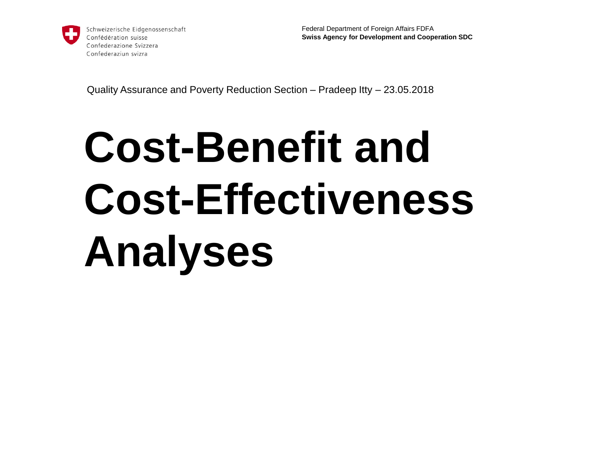

Schweizerische Eidgenossenschaft Confédération suisse Confederazione Svizzera Confederaziun svizra

Federal Department of Foreign Affairs FDFA **Swiss Agency for Development and Cooperation SDC**

Quality Assurance and Poverty Reduction Section – Pradeep Itty – 23.05.2018

# **Cost-Benefit and Cost-Effectiveness Analyses**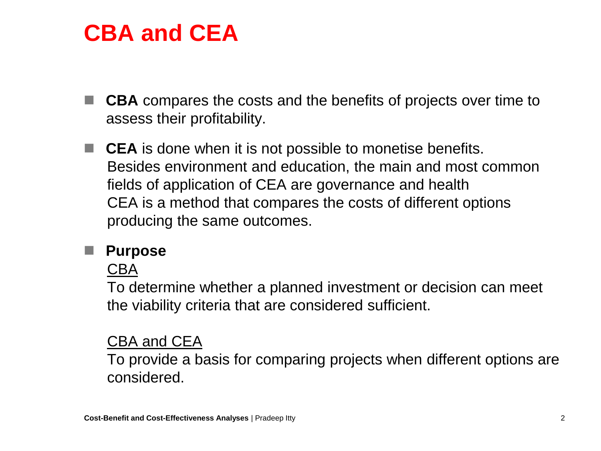### **CBA and CEA**

- **CBA** compares the costs and the benefits of projects over time to assess their profitability.
- CEA is done when it is not possible to monetise benefits. Besides environment and education, the main and most common fields of application of CEA are governance and health CEA is a method that compares the costs of different options producing the same outcomes.

#### **Purpose**

CBA

To determine whether a planned investment or decision can meet the viability criteria that are considered sufficient.

#### CBA and CEA

To provide a basis for comparing projects when different options are considered.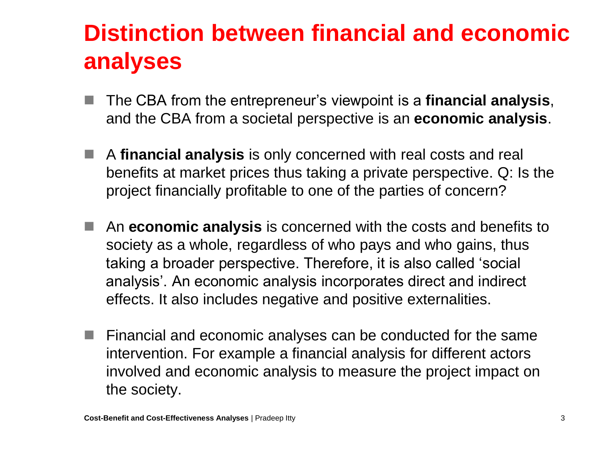## **Distinction between financial and economic analyses**

- The CBA from the entrepreneur's viewpoint is a **financial analysis**, and the CBA from a societal perspective is an **economic analysis**.
- A **financial analysis** is only concerned with real costs and real benefits at market prices thus taking a private perspective. Q: Is the project financially profitable to one of the parties of concern?
- An **economic analysis** is concerned with the costs and benefits to society as a whole, regardless of who pays and who gains, thus taking a broader perspective. Therefore, it is also called 'social analysis'. An economic analysis incorporates direct and indirect effects. It also includes negative and positive externalities.
- Financial and economic analyses can be conducted for the same intervention. For example a financial analysis for different actors involved and economic analysis to measure the project impact on the society.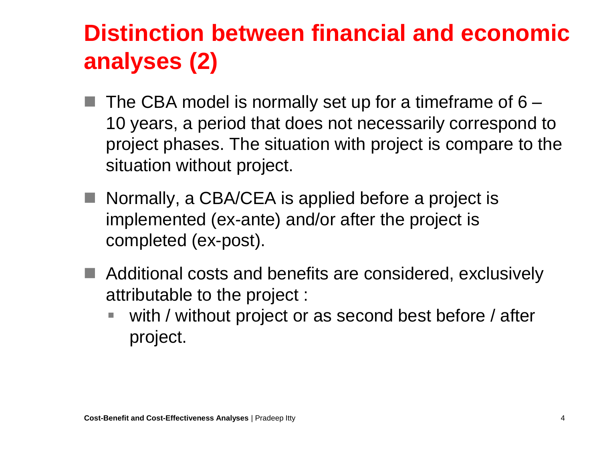## **Distinction between financial and economic analyses (2)**

- The CBA model is normally set up for a timeframe of 6 10 years, a period that does not necessarily correspond to project phases. The situation with project is compare to the situation without project.
- Normally, a CBA/CEA is applied before a project is implemented (ex-ante) and/or after the project is completed (ex-post).
- Additional costs and benefits are considered, exclusively attributable to the project :
	- with / without project or as second best before / after project.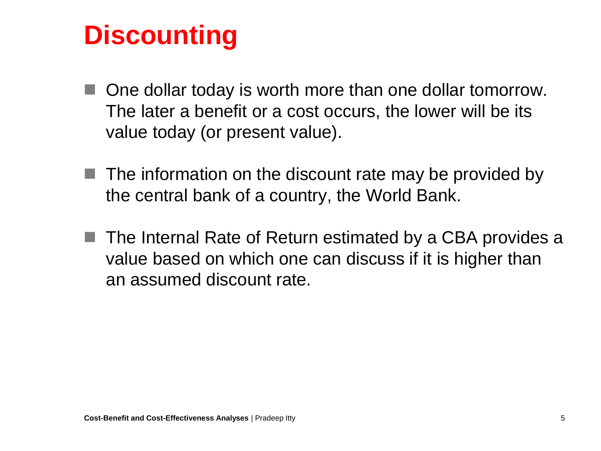# **Discounting**

- One dollar today is worth more than one dollar tomorrow. The later a benefit or a cost occurs, the lower will be its value today (or present value).
- The information on the discount rate may be provided by the central bank of a country, the World Bank.
- The Internal Rate of Return estimated by a CBA provides a value based on which one can discuss if it is higher than an assumed discount rate.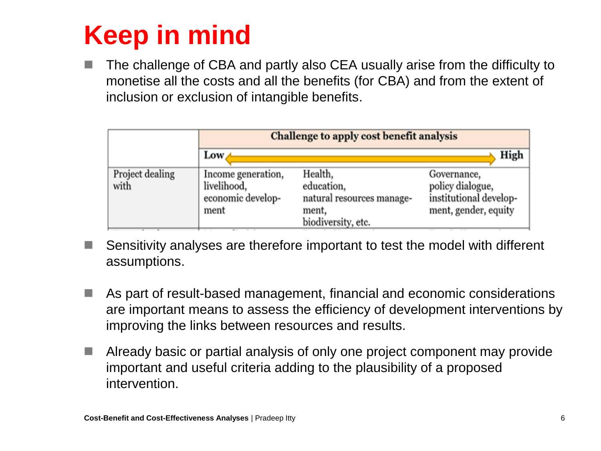# **Keep in mind**

 The challenge of CBA and partly also CEA usually arise from the difficulty to monetise all the costs and all the benefits (for CBA) and from the extent of inclusion or exclusion of intangible benefits.

|                         | Challenge to apply cost benefit analysis                       |                                                                                   |                                                                                   |
|-------------------------|----------------------------------------------------------------|-----------------------------------------------------------------------------------|-----------------------------------------------------------------------------------|
|                         | $Low \triangle$                                                |                                                                                   | High                                                                              |
| Project dealing<br>with | Income generation,<br>livelihood,<br>economic develop-<br>ment | Health,<br>education,<br>natural resources manage-<br>ment,<br>biodiversity, etc. | Governance,<br>policy dialogue,<br>institutional develop-<br>ment, gender, equity |
|                         |                                                                |                                                                                   |                                                                                   |

- Sensitivity analyses are therefore important to test the model with different assumptions.
- As part of result-based management, financial and economic considerations are important means to assess the efficiency of development interventions by improving the links between resources and results.
- Already basic or partial analysis of only one project component may provide important and useful criteria adding to the plausibility of a proposed intervention.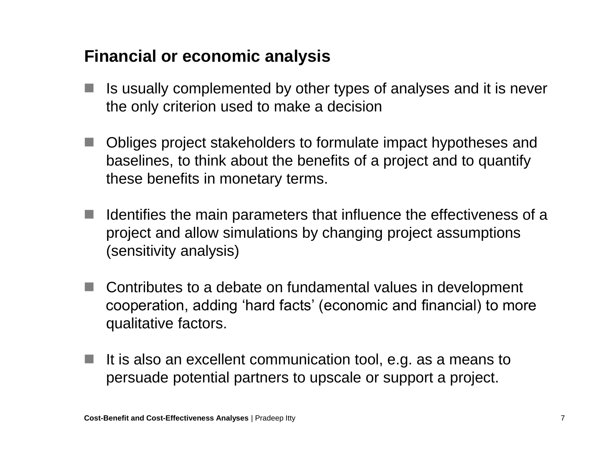#### **Financial or economic analysis**

- Is usually complemented by other types of analyses and it is never the only criterion used to make a decision
- Obliges project stakeholders to formulate impact hypotheses and baselines, to think about the benefits of a project and to quantify these benefits in monetary terms.
- $\blacksquare$  Identifies the main parameters that influence the effectiveness of a project and allow simulations by changing project assumptions (sensitivity analysis)
- Contributes to a debate on fundamental values in development cooperation, adding 'hard facts' (economic and financial) to more qualitative factors.
- If it is also an excellent communication tool, e.g. as a means to persuade potential partners to upscale or support a project.